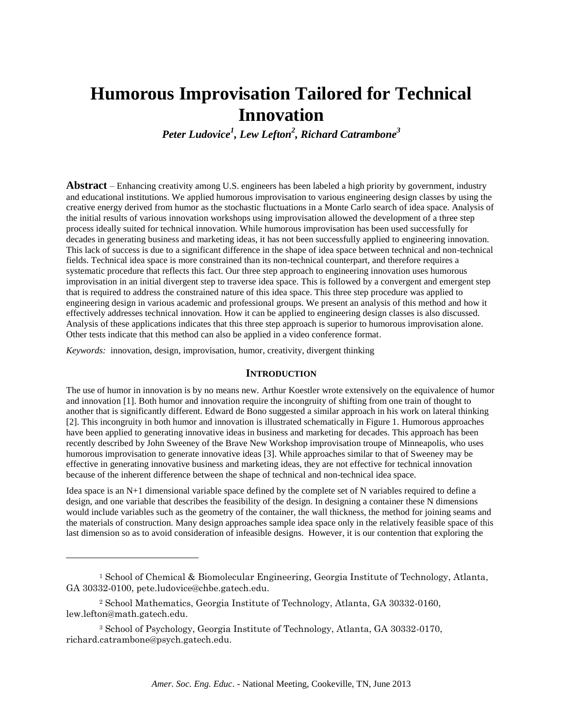# **Humorous Improvisation Tailored for Technical Innovation**

*Peter Ludovice<sup>1</sup> , Lew Lefton<sup>2</sup> , Richard Catrambone 3*

**Abstract** – Enhancing creativity among U.S. engineers has been labeled a high priority by government, industry and educational institutions. We applied humorous improvisation to various engineering design classes by using the creative energy derived from humor as the stochastic fluctuations in a Monte Carlo search of idea space. Analysis of the initial results of various innovation workshops using improvisation allowed the development of a three step process ideally suited for technical innovation. While humorous improvisation has been used successfully for decades in generating business and marketing ideas, it has not been successfully applied to engineering innovation. This lack of success is due to a significant difference in the shape of idea space between technical and non-technical fields. Technical idea space is more constrained than its non-technical counterpart, and therefore requires a systematic procedure that reflects this fact. Our three step approach to engineering innovation uses humorous improvisation in an initial divergent step to traverse idea space. This is followed by a convergent and emergent step that is required to address the constrained nature of this idea space. This three step procedure was applied to engineering design in various academic and professional groups. We present an analysis of this method and how it effectively addresses technical innovation. How it can be applied to engineering design classes is also discussed. Analysis of these applications indicates that this three step approach is superior to humorous improvisation alone. Other tests indicate that this method can also be applied in a video conference format.

*Keywords:* innovation, design, improvisation, humor, creativity, divergent thinking

l

## **INTRODUCTION**

The use of humor in innovation is by no means new. Arthur Koestler wrote extensively on the equivalence of humor and innovation [1]. Both humor and innovation require the incongruity of shifting from one train of thought to another that is significantly different. Edward de Bono suggested a similar approach in his work on lateral thinking [2]. This incongruity in both humor and innovation is illustrated schematically in Figure 1. Humorous approaches have been applied to generating innovative ideas in business and marketing for decades. This approach has been recently described by John Sweeney of the Brave New Workshop improvisation troupe of Minneapolis, who uses humorous improvisation to generate innovative ideas [3]. While approaches similar to that of Sweeney may be effective in generating innovative business and marketing ideas, they are not effective for technical innovation because of the inherent difference between the shape of technical and non-technical idea space.

Idea space is an N+1 dimensional variable space defined by the complete set of N variables required to define a design, and one variable that describes the feasibility of the design. In designing a container these N dimensions would include variables such as the geometry of the container, the wall thickness, the method for joining seams and the materials of construction. Many design approaches sample idea space only in the relatively feasible space of this last dimension so as to avoid consideration of infeasible designs. However, it is our contention that exploring the

<sup>1</sup> School of Chemical & Biomolecular Engineering, Georgia Institute of Technology, Atlanta, GA 30332-0100, pete.ludovice@chbe.gatech.edu.

<sup>2</sup> School Mathematics, Georgia Institute of Technology, Atlanta, GA 30332-0160, lew.lefton@math.gatech.edu.

<sup>3</sup> School of Psychology, Georgia Institute of Technology, Atlanta, GA 30332-0170, richard.catrambone@psych.gatech.edu.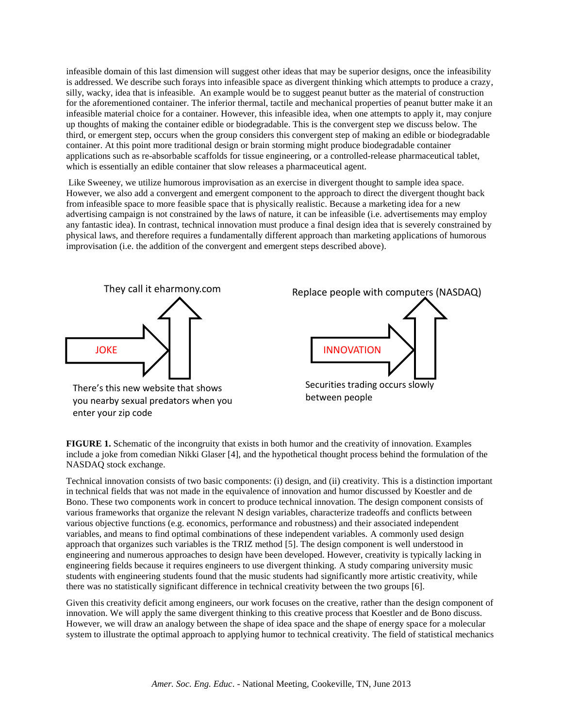infeasible domain of this last dimension will suggest other ideas that may be superior designs, once the infeasibility is addressed. We describe such forays into infeasible space as divergent thinking which attempts to produce a crazy, silly, wacky, idea that is infeasible. An example would be to suggest peanut butter as the material of construction for the aforementioned container. The inferior thermal, tactile and mechanical properties of peanut butter make it an infeasible material choice for a container. However, this infeasible idea, when one attempts to apply it, may conjure up thoughts of making the container edible or biodegradable. This is the convergent step we discuss below. The third, or emergent step, occurs when the group considers this convergent step of making an edible or biodegradable container. At this point more traditional design or brain storming might produce biodegradable container applications such as re-absorbable scaffolds for tissue engineering, or a controlled-release pharmaceutical tablet, which is essentially an edible container that slow releases a pharmaceutical agent.

Like Sweeney, we utilize humorous improvisation as an exercise in divergent thought to sample idea space. However, we also add a convergent and emergent component to the approach to direct the divergent thought back from infeasible space to more feasible space that is physically realistic. Because a marketing idea for a new advertising campaign is not constrained by the laws of nature, it can be infeasible (i.e. advertisements may employ any fantastic idea). In contrast, technical innovation must produce a final design idea that is severely constrained by physical laws, and therefore requires a fundamentally different approach than marketing applications of humorous improvisation (i.e. the addition of the convergent and emergent steps described above).



enter your zip code



**FIGURE 1.** Schematic of the incongruity that exists in both humor and the creativity of innovation. Examples include a joke from comedian Nikki Glaser [4], and the hypothetical thought process behind the formulation of the NASDAQ stock exchange.

Technical innovation consists of two basic components: (i) design, and (ii) creativity. This is a distinction important in technical fields that was not made in the equivalence of innovation and humor discussed by Koestler and de Bono. These two components work in concert to produce technical innovation. The design component consists of various frameworks that organize the relevant N design variables, characterize tradeoffs and conflicts between various objective functions (e.g. economics, performance and robustness) and their associated independent variables, and means to find optimal combinations of these independent variables. A commonly used design approach that organizes such variables is the TRIZ method [5]. The design component is well understood in engineering and numerous approaches to design have been developed. However, creativity is typically lacking in engineering fields because it requires engineers to use divergent thinking. A study comparing university music students with engineering students found that the music students had significantly more artistic creativity, while there was no statistically significant difference in technical creativity between the two groups [6].

Given this creativity deficit among engineers, our work focuses on the creative, rather than the design component of innovation. We will apply the same divergent thinking to this creative process that Koestler and de Bono discuss. However, we will draw an analogy between the shape of idea space and the shape of energy space for a molecular system to illustrate the optimal approach to applying humor to technical creativity. The field of statistical mechanics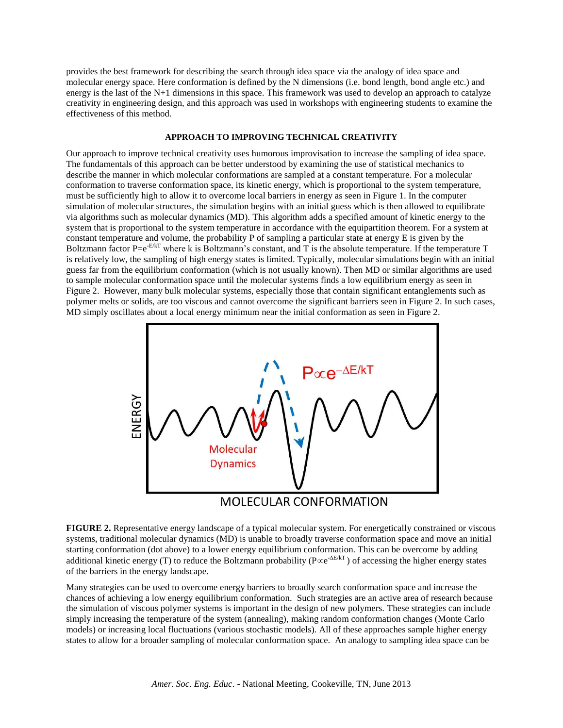provides the best framework for describing the search through idea space via the analogy of idea space and molecular energy space. Here conformation is defined by the N dimensions (i.e. bond length, bond angle etc.) and energy is the last of the N+1 dimensions in this space. This framework was used to develop an approach to catalyze creativity in engineering design, and this approach was used in workshops with engineering students to examine the effectiveness of this method.

# **APPROACH TO IMPROVING TECHNICAL CREATIVITY**

Our approach to improve technical creativity uses humorous improvisation to increase the sampling of idea space. The fundamentals of this approach can be better understood by examining the use of statistical mechanics to describe the manner in which molecular conformations are sampled at a constant temperature. For a molecular conformation to traverse conformation space, its kinetic energy, which is proportional to the system temperature, must be sufficiently high to allow it to overcome local barriers in energy as seen in Figure 1. In the computer simulation of molecular structures, the simulation begins with an initial guess which is then allowed to equilibrate via algorithms such as molecular dynamics (MD). This algorithm adds a specified amount of kinetic energy to the system that is proportional to the system temperature in accordance with the equipartition theorem. For a system at constant temperature and volume, the probability P of sampling a particular state at energy E is given by the Boltzmann factor P=e<sup>-E/kT</sup> where k is Boltzmann's constant, and T is the absolute temperature. If the temperature T is relatively low, the sampling of high energy states is limited. Typically, molecular simulations begin with an initial guess far from the equilibrium conformation (which is not usually known). Then MD or similar algorithms are used to sample molecular conformation space until the molecular systems finds a low equilibrium energy as seen in Figure 2. However, many bulk molecular systems, especially those that contain significant entanglements such as polymer melts or solids, are too viscous and cannot overcome the significant barriers seen in Figure 2. In such cases, MD simply oscillates about a local energy minimum near the initial conformation as seen in Figure 2.



**FIGURE 2.** Representative energy landscape of a typical molecular system. For energetically constrained or viscous systems, traditional molecular dynamics (MD) is unable to broadly traverse conformation space and move an initial starting conformation (dot above) to a lower energy equilibrium conformation. This can be overcome by adding additional kinetic energy (T) to reduce the Boltzmann probability ( $P \propto e^{-\Delta E/kT}$ ) of accessing the higher energy states of the barriers in the energy landscape.

Many strategies can be used to overcome energy barriers to broadly search conformation space and increase the chances of achieving a low energy equilibrium conformation. Such strategies are an active area of research because the simulation of viscous polymer systems is important in the design of new polymers. These strategies can include simply increasing the temperature of the system (annealing), making random conformation changes (Monte Carlo models) or increasing local fluctuations (various stochastic models). All of these approaches sample higher energy states to allow for a broader sampling of molecular conformation space. An analogy to sampling idea space can be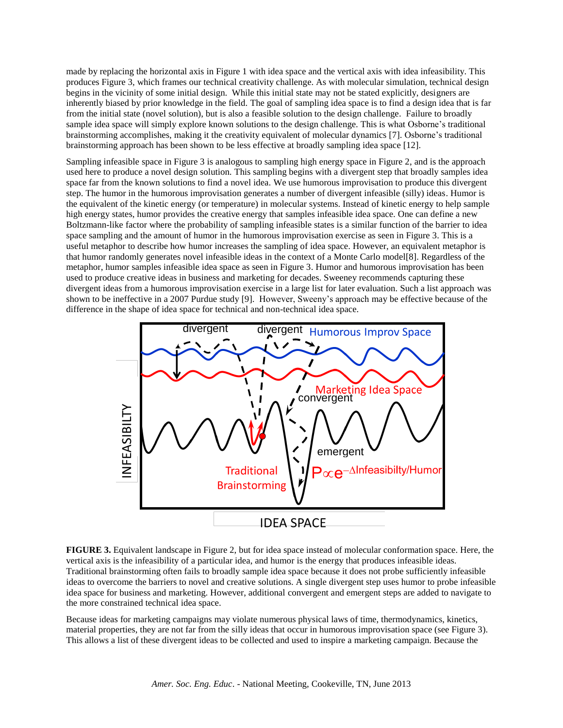made by replacing the horizontal axis in Figure 1 with idea space and the vertical axis with idea infeasibility. This produces Figure 3, which frames our technical creativity challenge. As with molecular simulation, technical design begins in the vicinity of some initial design. While this initial state may not be stated explicitly, designers are inherently biased by prior knowledge in the field. The goal of sampling idea space is to find a design idea that is far from the initial state (novel solution), but is also a feasible solution to the design challenge. Failure to broadly sample idea space will simply explore known solutions to the design challenge. This is what Osborne's traditional brainstorming accomplishes, making it the creativity equivalent of molecular dynamics [7]. Osborne's traditional brainstorming approach has been shown to be less effective at broadly sampling idea space [12].

Sampling infeasible space in Figure 3 is analogous to sampling high energy space in Figure 2, and is the approach used here to produce a novel design solution. This sampling begins with a divergent step that broadly samples idea space far from the known solutions to find a novel idea. We use humorous improvisation to produce this divergent step. The humor in the humorous improvisation generates a number of divergent infeasible (silly) ideas. Humor is the equivalent of the kinetic energy (or temperature) in molecular systems. Instead of kinetic energy to help sample high energy states, humor provides the creative energy that samples infeasible idea space. One can define a new Boltzmann-like factor where the probability of sampling infeasible states is a similar function of the barrier to idea space sampling and the amount of humor in the humorous improvisation exercise as seen in Figure 3. This is a useful metaphor to describe how humor increases the sampling of idea space. However, an equivalent metaphor is that humor randomly generates novel infeasible ideas in the context of a Monte Carlo model[8]. Regardless of the metaphor, humor samples infeasible idea space as seen in Figure 3. Humor and humorous improvisation has been used to produce creative ideas in business and marketing for decades. Sweeney recommends capturing these divergent ideas from a humorous improvisation exercise in a large list for later evaluation. Such a list approach was shown to be ineffective in a 2007 Purdue study [9]. However, Sweeny's approach may be effective because of the difference in the shape of idea space for technical and non-technical idea space.



## **FIGURE 3.** Equivalent landscape in Figure 2, but for idea space instead of molecular conformation space. Here, the vertical axis is the infeasibility of a particular idea, and humor is the energy that produces infeasible ideas. Traditional brainstorming often fails to broadly sample idea space because it does not probe sufficiently infeasible ideas to overcome the barriers to novel and creative solutions. A single divergent step uses humor to probe infeasible idea space for business and marketing. However, additional convergent and emergent steps are added to navigate to the more constrained technical idea space.

Because ideas for marketing campaigns may violate numerous physical laws of time, thermodynamics, kinetics, material properties, they are not far from the silly ideas that occur in humorous improvisation space (see Figure 3). This allows a list of these divergent ideas to be collected and used to inspire a marketing campaign. Because the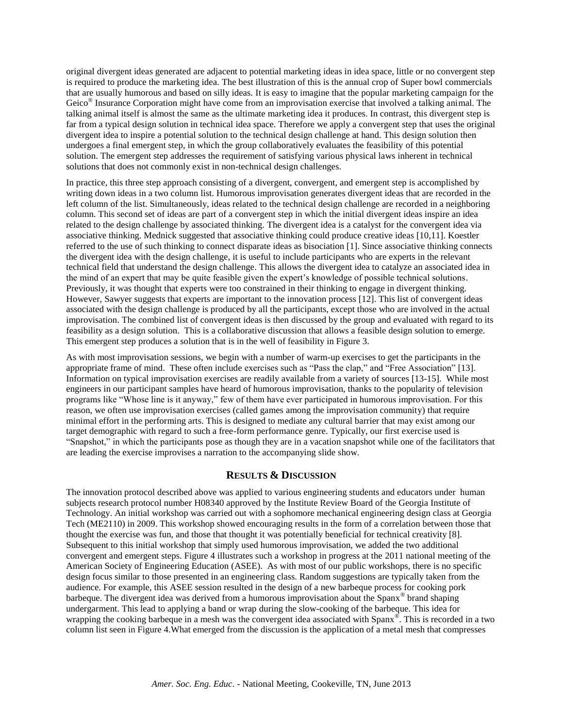original divergent ideas generated are adjacent to potential marketing ideas in idea space, little or no convergent step is required to produce the marketing idea. The best illustration of this is the annual crop of Super bowl commercials that are usually humorous and based on silly ideas. It is easy to imagine that the popular marketing campaign for the Geico<sup>®</sup> Insurance Corporation might have come from an improvisation exercise that involved a talking animal. The talking animal itself is almost the same as the ultimate marketing idea it produces. In contrast, this divergent step is far from a typical design solution in technical idea space. Therefore we apply a convergent step that uses the original divergent idea to inspire a potential solution to the technical design challenge at hand. This design solution then undergoes a final emergent step, in which the group collaboratively evaluates the feasibility of this potential solution. The emergent step addresses the requirement of satisfying various physical laws inherent in technical solutions that does not commonly exist in non-technical design challenges.

In practice, this three step approach consisting of a divergent, convergent, and emergent step is accomplished by writing down ideas in a two column list. Humorous improvisation generates divergent ideas that are recorded in the left column of the list. Simultaneously, ideas related to the technical design challenge are recorded in a neighboring column. This second set of ideas are part of a convergent step in which the initial divergent ideas inspire an idea related to the design challenge by associated thinking. The divergent idea is a catalyst for the convergent idea via associative thinking. Mednick suggested that associative thinking could produce creative ideas [10,11]. Koestler referred to the use of such thinking to connect disparate ideas as bisociation [1]. Since associative thinking connects the divergent idea with the design challenge, it is useful to include participants who are experts in the relevant technical field that understand the design challenge. This allows the divergent idea to catalyze an associated idea in the mind of an expert that may be quite feasible given the expert's knowledge of possible technical solutions. Previously, it was thought that experts were too constrained in their thinking to engage in divergent thinking. However, Sawyer suggests that experts are important to the innovation process [12]. This list of convergent ideas associated with the design challenge is produced by all the participants, except those who are involved in the actual improvisation. The combined list of convergent ideas is then discussed by the group and evaluated with regard to its feasibility as a design solution. This is a collaborative discussion that allows a feasible design solution to emerge. This emergent step produces a solution that is in the well of feasibility in Figure 3.

As with most improvisation sessions, we begin with a number of warm-up exercises to get the participants in the appropriate frame of mind. These often include exercises such as "Pass the clap," and "Free Association" [13]. Information on typical improvisation exercises are readily available from a variety of sources [13-15]. While most engineers in our participant samples have heard of humorous improvisation, thanks to the popularity of television programs like "Whose line is it anyway," few of them have ever participated in humorous improvisation. For this reason, we often use improvisation exercises (called games among the improvisation community) that require minimal effort in the performing arts. This is designed to mediate any cultural barrier that may exist among our target demographic with regard to such a free-form performance genre. Typically, our first exercise used is "Snapshot," in which the participants pose as though they are in a vacation snapshot while one of the facilitators that are leading the exercise improvises a narration to the accompanying slide show.

## **RESULTS & DISCUSSION**

The innovation protocol described above was applied to various engineering students and educators under human subjects research protocol number H08340 approved by the Institute Review Board of the Georgia Institute of Technology. An initial workshop was carried out with a sophomore mechanical engineering design class at Georgia Tech (ME2110) in 2009. This workshop showed encouraging results in the form of a correlation between those that thought the exercise was fun, and those that thought it was potentially beneficial for technical creativity [8]. Subsequent to this initial workshop that simply used humorous improvisation, we added the two additional convergent and emergent steps. Figure 4 illustrates such a workshop in progress at the 2011 national meeting of the American Society of Engineering Education (ASEE). As with most of our public workshops, there is no specific design focus similar to those presented in an engineering class. Random suggestions are typically taken from the audience. For example, this ASEE session resulted in the design of a new barbeque process for cooking pork barbeque. The divergent idea was derived from a humorous improvisation about the Spanx<sup>®</sup> brand shaping undergarment. This lead to applying a band or wrap during the slow-cooking of the barbeque. This idea for wrapping the cooking barbeque in a mesh was the convergent idea associated with Spanx®. This is recorded in a two column list seen in Figure 4.What emerged from the discussion is the application of a metal mesh that compresses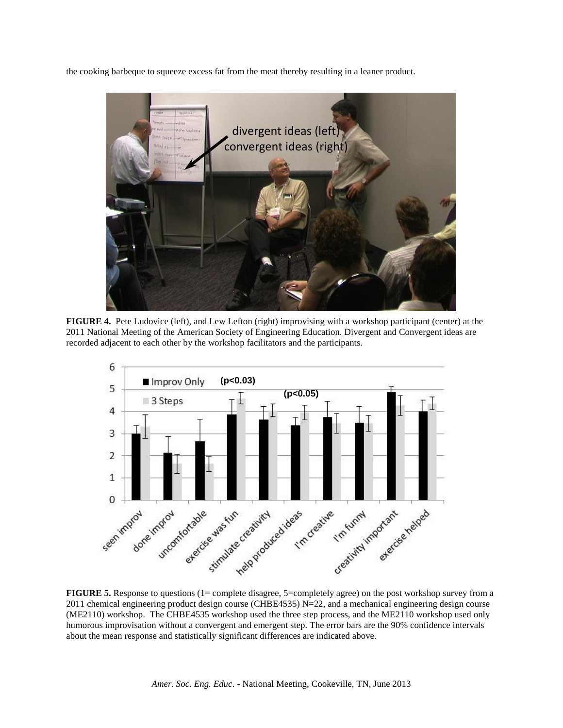the cooking barbeque to squeeze excess fat from the meat thereby resulting in a leaner product.



**FIGURE 4.** Pete Ludovice (left), and Lew Lefton (right) improvising with a workshop participant (center) at the 2011 National Meeting of the American Society of Engineering Education. Divergent and Convergent ideas are recorded adjacent to each other by the workshop facilitators and the participants.



**FIGURE 5.** Response to questions (1= complete disagree, 5=completely agree) on the post workshop survey from a 2011 chemical engineering product design course (CHBE4535)  $N=22$ , and a mechanical engineering design course (ME2110) workshop. The CHBE4535 workshop used the three step process, and the ME2110 workshop used only humorous improvisation without a convergent and emergent step. The error bars are the 90% confidence intervals about the mean response and statistically significant differences are indicated above.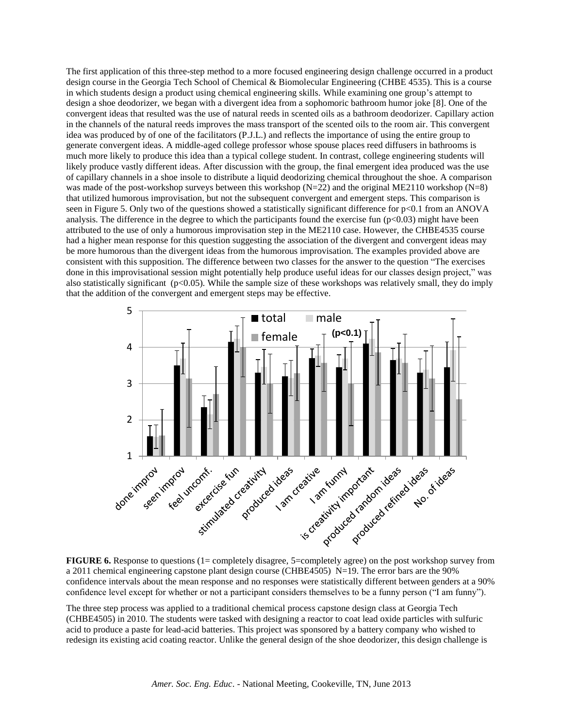The first application of this three-step method to a more focused engineering design challenge occurred in a product design course in the Georgia Tech School of Chemical & Biomolecular Engineering (CHBE 4535). This is a course in which students design a product using chemical engineering skills. While examining one group's attempt to design a shoe deodorizer, we began with a divergent idea from a sophomoric bathroom humor joke [8]. One of the convergent ideas that resulted was the use of natural reeds in scented oils as a bathroom deodorizer. Capillary action in the channels of the natural reeds improves the mass transport of the scented oils to the room air. This convergent idea was produced by of one of the facilitators (P.J.L.) and reflects the importance of using the entire group to generate convergent ideas. A middle-aged college professor whose spouse places reed diffusers in bathrooms is much more likely to produce this idea than a typical college student. In contrast, college engineering students will likely produce vastly different ideas. After discussion with the group, the final emergent idea produced was the use of capillary channels in a shoe insole to distribute a liquid deodorizing chemical throughout the shoe. A comparison was made of the post-workshop surveys between this workshop  $(N=22)$  and the original ME2110 workshop  $(N=8)$ that utilized humorous improvisation, but not the subsequent convergent and emergent steps. This comparison is seen in Figure 5. Only two of the questions showed a statistically significant difference for  $p<0.1$  from an ANOVA analysis. The difference in the degree to which the participants found the exercise fun  $(p<0.03)$  might have been attributed to the use of only a humorous improvisation step in the ME2110 case. However, the CHBE4535 course had a higher mean response for this question suggesting the association of the divergent and convergent ideas may be more humorous than the divergent ideas from the humorous improvisation. The examples provided above are consistent with this supposition. The difference between two classes for the answer to the question "The exercises done in this improvisational session might potentially help produce useful ideas for our classes design project," was also statistically significant (p<0.05). While the sample size of these workshops was relatively small, they do imply that the addition of the convergent and emergent steps may be effective.



**FIGURE 6.** Response to questions (1= completely disagree, 5=completely agree) on the post workshop survey from a 2011 chemical engineering capstone plant design course (CHBE4505) N=19. The error bars are the 90% confidence intervals about the mean response and no responses were statistically different between genders at a 90% confidence level except for whether or not a participant considers themselves to be a funny person ("I am funny").

The three step process was applied to a traditional chemical process capstone design class at Georgia Tech (CHBE4505) in 2010. The students were tasked with designing a reactor to coat lead oxide particles with sulfuric acid to produce a paste for lead-acid batteries. This project was sponsored by a battery company who wished to redesign its existing acid coating reactor. Unlike the general design of the shoe deodorizer, this design challenge is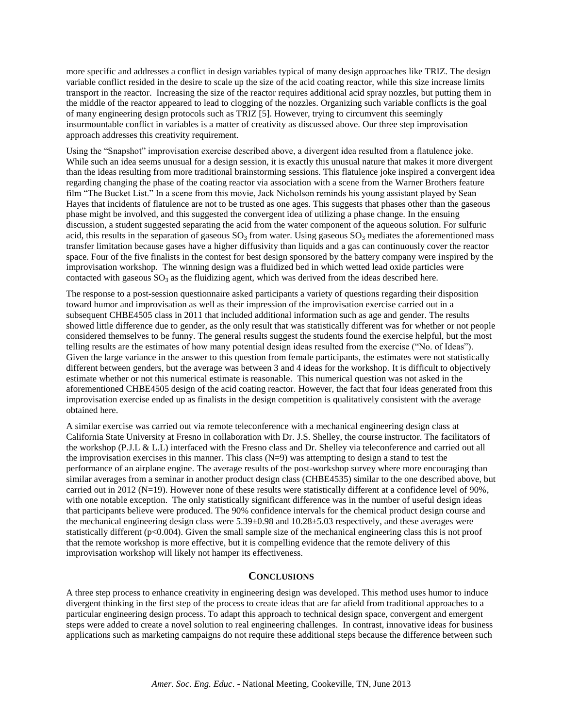more specific and addresses a conflict in design variables typical of many design approaches like TRIZ. The design variable conflict resided in the desire to scale up the size of the acid coating reactor, while this size increase limits transport in the reactor. Increasing the size of the reactor requires additional acid spray nozzles, but putting them in the middle of the reactor appeared to lead to clogging of the nozzles. Organizing such variable conflicts is the goal of many engineering design protocols such as TRIZ [5]. However, trying to circumvent this seemingly insurmountable conflict in variables is a matter of creativity as discussed above. Our three step improvisation approach addresses this creativity requirement.

Using the "Snapshot" improvisation exercise described above, a divergent idea resulted from a flatulence joke. While such an idea seems unusual for a design session, it is exactly this unusual nature that makes it more divergent than the ideas resulting from more traditional brainstorming sessions. This flatulence joke inspired a convergent idea regarding changing the phase of the coating reactor via association with a scene from the Warner Brothers feature film "The Bucket List." In a scene from this movie, Jack Nicholson reminds his young assistant played by Sean Hayes that incidents of flatulence are not to be trusted as one ages. This suggests that phases other than the gaseous phase might be involved, and this suggested the convergent idea of utilizing a phase change. In the ensuing discussion, a student suggested separating the acid from the water component of the aqueous solution. For sulfuric acid, this results in the separation of gaseous  $SO_3$  from water. Using gaseous  $SO_3$  mediates the aforementioned mass transfer limitation because gases have a higher diffusivity than liquids and a gas can continuously cover the reactor space. Four of the five finalists in the contest for best design sponsored by the battery company were inspired by the improvisation workshop. The winning design was a fluidized bed in which wetted lead oxide particles were contacted with gaseous  $SO_3$  as the fluidizing agent, which was derived from the ideas described here.

The response to a post-session questionnaire asked participants a variety of questions regarding their disposition toward humor and improvisation as well as their impression of the improvisation exercise carried out in a subsequent CHBE4505 class in 2011 that included additional information such as age and gender. The results showed little difference due to gender, as the only result that was statistically different was for whether or not people considered themselves to be funny. The general results suggest the students found the exercise helpful, but the most telling results are the estimates of how many potential design ideas resulted from the exercise ("No. of Ideas"). Given the large variance in the answer to this question from female participants, the estimates were not statistically different between genders, but the average was between 3 and 4 ideas for the workshop. It is difficult to objectively estimate whether or not this numerical estimate is reasonable. This numerical question was not asked in the aforementioned CHBE4505 design of the acid coating reactor. However, the fact that four ideas generated from this improvisation exercise ended up as finalists in the design competition is qualitatively consistent with the average obtained here.

A similar exercise was carried out via remote teleconference with a mechanical engineering design class at California State University at Fresno in collaboration with Dr. J.S. Shelley, the course instructor. The facilitators of the workshop (P.J.L & L.L) interfaced with the Fresno class and Dr. Shelley via teleconference and carried out all the improvisation exercises in this manner. This class  $(N=9)$  was attempting to design a stand to test the performance of an airplane engine. The average results of the post-workshop survey where more encouraging than similar averages from a seminar in another product design class (CHBE4535) similar to the one described above, but carried out in 2012 (N=19). However none of these results were statistically different at a confidence level of 90%, with one notable exception. The only statistically significant difference was in the number of useful design ideas that participants believe were produced. The 90% confidence intervals for the chemical product design course and the mechanical engineering design class were 5.39±0.98 and 10.28±5.03 respectively, and these averages were statistically different (p<0.004). Given the small sample size of the mechanical engineering class this is not proof that the remote workshop is more effective, but it is compelling evidence that the remote delivery of this improvisation workshop will likely not hamper its effectiveness.

## **CONCLUSIONS**

A three step process to enhance creativity in engineering design was developed. This method uses humor to induce divergent thinking in the first step of the process to create ideas that are far afield from traditional approaches to a particular engineering design process. To adapt this approach to technical design space, convergent and emergent steps were added to create a novel solution to real engineering challenges. In contrast, innovative ideas for business applications such as marketing campaigns do not require these additional steps because the difference between such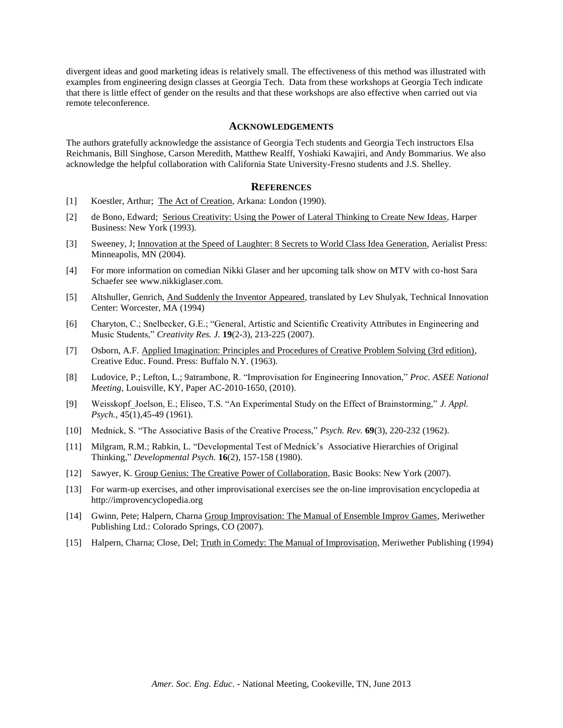divergent ideas and good marketing ideas is relatively small. The effectiveness of this method was illustrated with examples from engineering design classes at Georgia Tech. Data from these workshops at Georgia Tech indicate that there is little effect of gender on the results and that these workshops are also effective when carried out via remote teleconference.

## **ACKNOWLEDGEMENTS**

The authors gratefully acknowledge the assistance of Georgia Tech students and Georgia Tech instructors Elsa Reichmanis, Bill Singhose, Carson Meredith, Matthew Realff, Yoshiaki Kawajiri, and Andy Bommarius. We also acknowledge the helpful collaboration with California State University-Fresno students and J.S. Shelley.

## **REFERENCES**

- [1] Koestler, Arthur; The Act of Creation, Arkana: London (1990).
- [2] de Bono, Edward; Serious Creativity: Using the Power of Lateral Thinking to Create New Ideas, Harper Business: New York (1993).
- [3] Sweeney, J; Innovation at the Speed of Laughter: 8 Secrets to World Class Idea Generation, Aerialist Press: Minneapolis, MN (2004).
- [4] For more information on comedian Nikki Glaser and her upcoming talk show on MTV with co-host Sara Schaefer see www.nikkiglaser.com.
- [5] Altshuller, Genrich, And Suddenly the Inventor Appeared, translated by Lev Shulyak, Technical Innovation Center: Worcester, MA (1994)
- [6] Charyton, C.; Snelbecker, G.E.; "General, Artistic and Scientific Creativity Attributes in Engineering and Music Students," *Creativity Res. J.* **19**(2-3), 213-225 (2007).
- [7] Osborn, A.F. Applied Imagination: Principles and Procedures of Creative Problem Solving (3rd edition), Creative Educ. Found. Press: Buffalo N.Y. (1963).
- [8] Ludovice, P.; Lefton, L.; 9atrambone, R. "Improvisation for Engineering Innovation," *Proc. ASEE National Meeting*, Louisville, KY, Paper AC-2010-1650, (2010).
- [9] Weisskopf\_Joelson, E.; Eliseo, T.S. "An Experimental Study on the Effect of Brainstorming," *J. Appl. Psych.*, 45(1),45-49 (1961).
- [10] Mednick, S. "The Associative Basis of the Creative Process," *Psych. Rev.* **69**(3), 220-232 (1962).
- [11] Milgram, R.M.; Rabkin, L. "Developmental Test of Mednick's Associative Hierarchies of Original Thinking," *Developmental Psych.* **16**(2), 157-158 (1980).
- [12] Sawyer, K. Group Genius: The Creative Power of Collaboration, Basic Books: New York (2007).
- [13] For warm-up exercises, and other improvisational exercises see the on-line improvisation encyclopedia at http://improvencyclopedia.org
- [14] Gwinn, Pete; Halpern, Charna Group Improvisation: The Manual of Ensemble Improv Games, Meriwether Publishing Ltd.: Colorado Springs, CO (2007).
- [15] Halpern, Charna; Close, Del; Truth in Comedy: The Manual of Improvisation, Meriwether Publishing (1994)